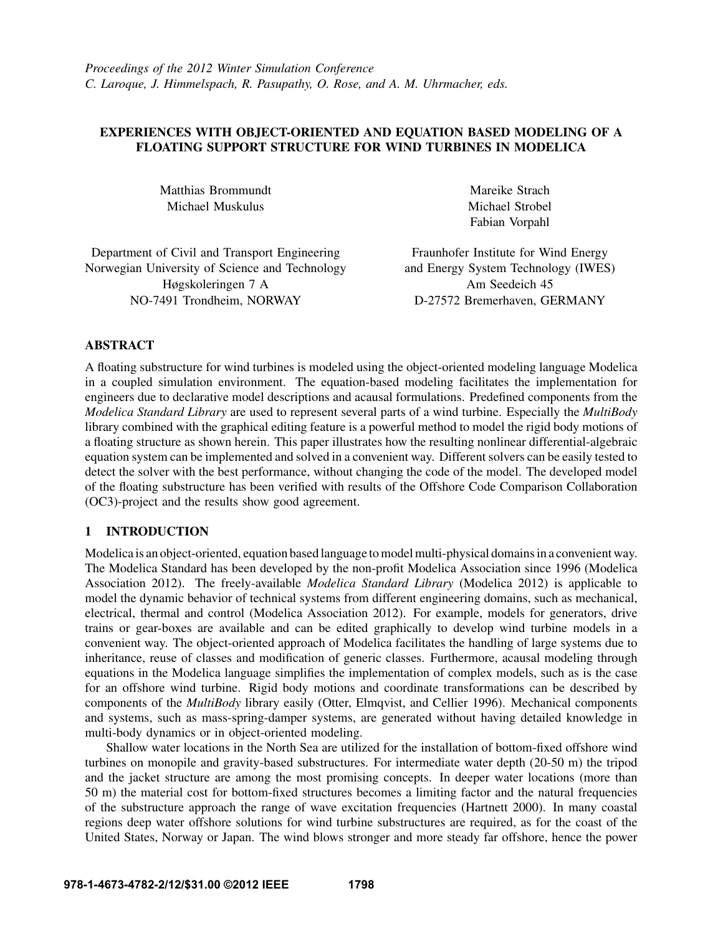# EXPERIENCES WITH OBJECT-ORIENTED AND EQUATION BASED MODELING OF A FLOATING SUPPORT STRUCTURE FOR WIND TURBINES IN MODELICA

Matthias Brommundt Michael Muskulus

Mareike Strach Michael Strobel Fabian Vorpahl

Department of Civil and Transport Engineering Norwegian University of Science and Technology Høgskoleringen 7 A NO-7491 Trondheim, NORWAY

Fraunhofer Institute for Wind Energy and Energy System Technology (IWES) Am Seedeich 45 D-27572 Bremerhaven, GERMANY

# ABSTRACT

A floating substructure for wind turbines is modeled using the object-oriented modeling language Modelica in a coupled simulation environment. The equation-based modeling facilitates the implementation for engineers due to declarative model descriptions and acausal formulations. Predefined components from the *Modelica Standard Library* are used to represent several parts of a wind turbine. Especially the *MultiBody* library combined with the graphical editing feature is a powerful method to model the rigid body motions of a floating structure as shown herein. This paper illustrates how the resulting nonlinear differential-algebraic equation system can be implemented and solved in a convenient way. Different solvers can be easily tested to detect the solver with the best performance, without changing the code of the model. The developed model of the floating substructure has been verified with results of the Offshore Code Comparison Collaboration (OC3)-project and the results show good agreement.

# 1 INTRODUCTION

Modelica is an object-oriented, equation based language to model multi-physical domains in a convenient way. The Modelica Standard has been developed by the non-profit Modelica Association since 1996 (Modelica Association 2012). The freely-available *Modelica Standard Library* (Modelica 2012) is applicable to model the dynamic behavior of technical systems from different engineering domains, such as mechanical, electrical, thermal and control (Modelica Association 2012). For example, models for generators, drive trains or gear-boxes are available and can be edited graphically to develop wind turbine models in a convenient way. The object-oriented approach of Modelica facilitates the handling of large systems due to inheritance, reuse of classes and modification of generic classes. Furthermore, acausal modeling through equations in the Modelica language simplifies the implementation of complex models, such as is the case for an offshore wind turbine. Rigid body motions and coordinate transformations can be described by components of the *MultiBody* library easily (Otter, Elmqvist, and Cellier 1996). Mechanical components and systems, such as mass-spring-damper systems, are generated without having detailed knowledge in multi-body dynamics or in object-oriented modeling.

Shallow water locations in the North Sea are utilized for the installation of bottom-fixed offshore wind turbines on monopile and gravity-based substructures. For intermediate water depth (20-50 m) the tripod and the jacket structure are among the most promising concepts. In deeper water locations (more than 50 m) the material cost for bottom-fixed structures becomes a limiting factor and the natural frequencies of the substructure approach the range of wave excitation frequencies (Hartnett 2000). In many coastal regions deep water offshore solutions for wind turbine substructures are required, as for the coast of the United States, Norway or Japan. The wind blows stronger and more steady far offshore, hence the power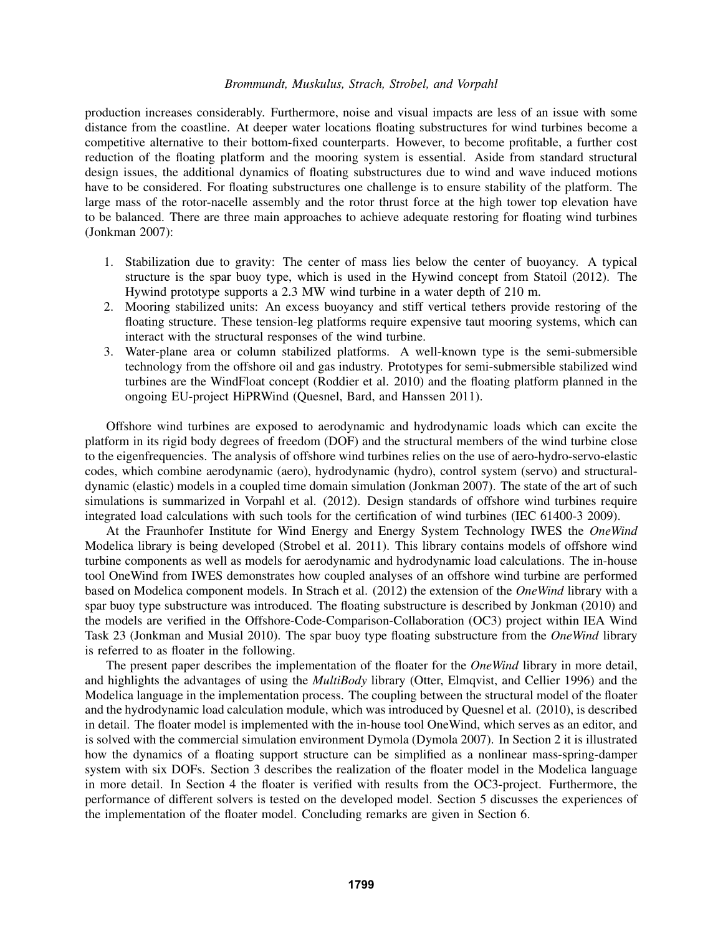production increases considerably. Furthermore, noise and visual impacts are less of an issue with some distance from the coastline. At deeper water locations floating substructures for wind turbines become a competitive alternative to their bottom-fixed counterparts. However, to become profitable, a further cost reduction of the floating platform and the mooring system is essential. Aside from standard structural design issues, the additional dynamics of floating substructures due to wind and wave induced motions have to be considered. For floating substructures one challenge is to ensure stability of the platform. The large mass of the rotor-nacelle assembly and the rotor thrust force at the high tower top elevation have to be balanced. There are three main approaches to achieve adequate restoring for floating wind turbines (Jonkman 2007):

- 1. Stabilization due to gravity: The center of mass lies below the center of buoyancy. A typical structure is the spar buoy type, which is used in the Hywind concept from Statoil (2012). The Hywind prototype supports a 2.3 MW wind turbine in a water depth of 210 m.
- 2. Mooring stabilized units: An excess buoyancy and stiff vertical tethers provide restoring of the floating structure. These tension-leg platforms require expensive taut mooring systems, which can interact with the structural responses of the wind turbine.
- 3. Water-plane area or column stabilized platforms. A well-known type is the semi-submersible technology from the offshore oil and gas industry. Prototypes for semi-submersible stabilized wind turbines are the WindFloat concept (Roddier et al. 2010) and the floating platform planned in the ongoing EU-project HiPRWind (Quesnel, Bard, and Hanssen 2011).

Offshore wind turbines are exposed to aerodynamic and hydrodynamic loads which can excite the platform in its rigid body degrees of freedom (DOF) and the structural members of the wind turbine close to the eigenfrequencies. The analysis of offshore wind turbines relies on the use of aero-hydro-servo-elastic codes, which combine aerodynamic (aero), hydrodynamic (hydro), control system (servo) and structuraldynamic (elastic) models in a coupled time domain simulation (Jonkman 2007). The state of the art of such simulations is summarized in Vorpahl et al. (2012). Design standards of offshore wind turbines require integrated load calculations with such tools for the certification of wind turbines (IEC 61400-3 2009).

At the Fraunhofer Institute for Wind Energy and Energy System Technology IWES the *OneWind* Modelica library is being developed (Strobel et al. 2011). This library contains models of offshore wind turbine components as well as models for aerodynamic and hydrodynamic load calculations. The in-house tool OneWind from IWES demonstrates how coupled analyses of an offshore wind turbine are performed based on Modelica component models. In Strach et al. (2012) the extension of the *OneWind* library with a spar buoy type substructure was introduced. The floating substructure is described by Jonkman (2010) and the models are verified in the Offshore-Code-Comparison-Collaboration (OC3) project within IEA Wind Task 23 (Jonkman and Musial 2010). The spar buoy type floating substructure from the *OneWind* library is referred to as floater in the following.

The present paper describes the implementation of the floater for the *OneWind* library in more detail, and highlights the advantages of using the *MultiBody* library (Otter, Elmqvist, and Cellier 1996) and the Modelica language in the implementation process. The coupling between the structural model of the floater and the hydrodynamic load calculation module, which was introduced by Quesnel et al. (2010), is described in detail. The floater model is implemented with the in-house tool OneWind, which serves as an editor, and is solved with the commercial simulation environment Dymola (Dymola 2007). In Section 2 it is illustrated how the dynamics of a floating support structure can be simplified as a nonlinear mass-spring-damper system with six DOFs. Section 3 describes the realization of the floater model in the Modelica language in more detail. In Section 4 the floater is verified with results from the OC3-project. Furthermore, the performance of different solvers is tested on the developed model. Section 5 discusses the experiences of the implementation of the floater model. Concluding remarks are given in Section 6.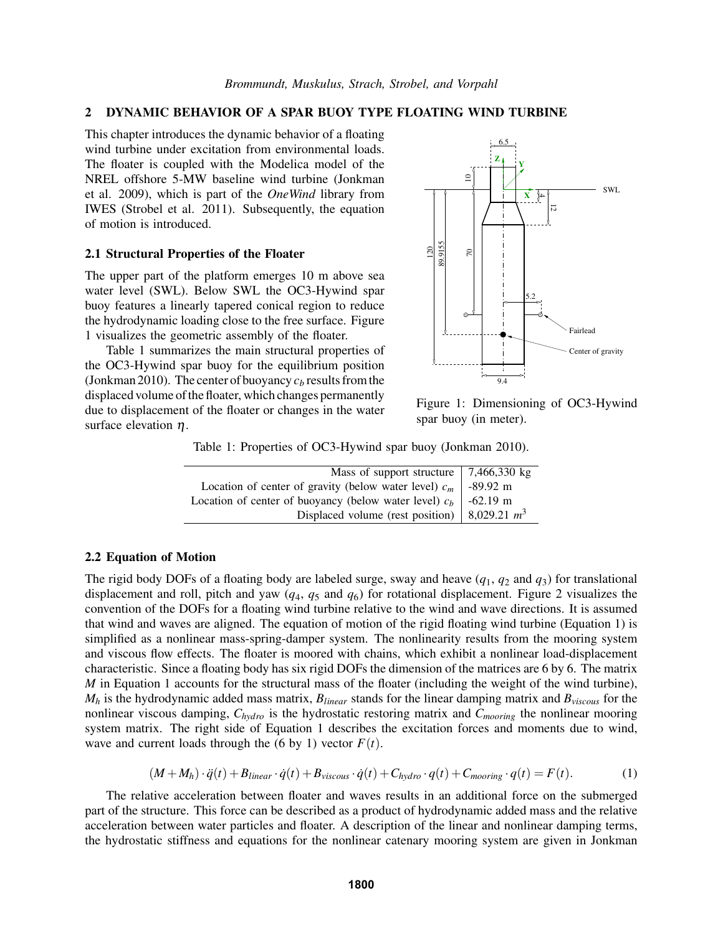### 2 DYNAMIC BEHAVIOR OF A SPAR BUOY TYPE FLOATING WIND TURBINE

This chapter introduces the dynamic behavior of a floating wind turbine under excitation from environmental loads. The floater is coupled with the Modelica model of the NREL offshore 5-MW baseline wind turbine (Jonkman et al. 2009), which is part of the *OneWind* library from IWES (Strobel et al. 2011). Subsequently, the equation of motion is introduced.

#### 2.1 Structural Properties of the Floater

The upper part of the platform emerges 10 m above sea water level (SWL). Below SWL the OC3-Hywind spar buoy features a linearly tapered conical region to reduce the hydrodynamic loading close to the free surface. Figure 1 visualizes the geometric assembly of the floater.

Table 1 summarizes the main structural properties of the OC3-Hywind spar buoy for the equilibrium position (Jonkman 2010). The center of buoyancy  $c<sub>b</sub>$  results from the displaced volume of the floater, which changes permanently due to displacement of the floater or changes in the water surface elevation  $\eta$ .



Figure 1: Dimensioning of OC3-Hywind spar buoy (in meter).

Table 1: Properties of OC3-Hywind spar buoy (Jonkman 2010).

| Mass of support structure $\vert 7,466,330 \text{ kg} \vert$        |  |
|---------------------------------------------------------------------|--|
| Location of center of gravity (below water level) $c_m$   -89.92 m  |  |
| Location of center of buoyancy (below water level) $c_b$   -62.19 m |  |
| Displaced volume (rest position)   8,029.21 $m^3$                   |  |

### 2.2 Equation of Motion

The rigid body DOFs of a floating body are labeled surge, sway and heave  $(q_1, q_2 \text{ and } q_3)$  for translational displacement and roll, pitch and yaw (*q*4, *q*<sup>5</sup> and *q*6) for rotational displacement. Figure 2 visualizes the convention of the DOFs for a floating wind turbine relative to the wind and wave directions. It is assumed that wind and waves are aligned. The equation of motion of the rigid floating wind turbine (Equation 1) is simplified as a nonlinear mass-spring-damper system. The nonlinearity results from the mooring system and viscous flow effects. The floater is moored with chains, which exhibit a nonlinear load-displacement characteristic. Since a floating body has six rigid DOFs the dimension of the matrices are 6 by 6. The matrix *M* in Equation 1 accounts for the structural mass of the floater (including the weight of the wind turbine), *M<sup>h</sup>* is the hydrodynamic added mass matrix, *Blinear* stands for the linear damping matrix and *Bviscous* for the nonlinear viscous damping, *Chydro* is the hydrostatic restoring matrix and *Cmooring* the nonlinear mooring system matrix. The right side of Equation 1 describes the excitation forces and moments due to wind, wave and current loads through the (6 by 1) vector  $F(t)$ .

$$
(M+M_h)\cdot \ddot{q}(t) + B_{linear}\cdot \dot{q}(t) + B_{viscous}\cdot \dot{q}(t) + C_{hydro}\cdot q(t) + C_{moving}\cdot q(t) = F(t).
$$
 (1)

The relative acceleration between floater and waves results in an additional force on the submerged part of the structure. This force can be described as a product of hydrodynamic added mass and the relative acceleration between water particles and floater. A description of the linear and nonlinear damping terms, the hydrostatic stiffness and equations for the nonlinear catenary mooring system are given in Jonkman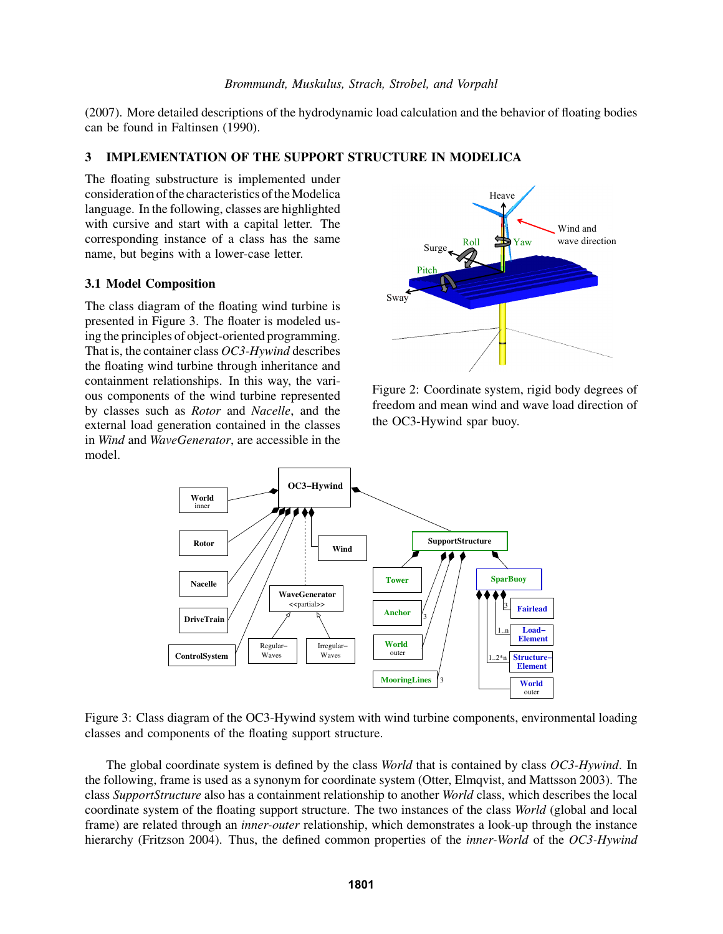(2007). More detailed descriptions of the hydrodynamic load calculation and the behavior of floating bodies can be found in Faltinsen (1990).

# 3 IMPLEMENTATION OF THE SUPPORT STRUCTURE IN MODELICA

The floating substructure is implemented under consideration of the characteristics of the Modelica language. In the following, classes are highlighted with cursive and start with a capital letter. The corresponding instance of a class has the same name, but begins with a lower-case letter.

## 3.1 Model Composition

The class diagram of the floating wind turbine is presented in Figure 3. The floater is modeled using the principles of object-oriented programming. That is, the container class *OC3-Hywind* describes the floating wind turbine through inheritance and containment relationships. In this way, the various components of the wind turbine represented by classes such as *Rotor* and *Nacelle*, and the external load generation contained in the classes in *Wind* and *WaveGenerator*, are accessible in the model.



Figure 2: Coordinate system, rigid body degrees of freedom and mean wind and wave load direction of the OC3-Hywind spar buoy.



Figure 3: Class diagram of the OC3-Hywind system with wind turbine components, environmental loading classes and components of the floating support structure.

The global coordinate system is defined by the class *World* that is contained by class *OC3-Hywind*. In the following, frame is used as a synonym for coordinate system (Otter, Elmqvist, and Mattsson 2003). The class *SupportStructure* also has a containment relationship to another *World* class, which describes the local coordinate system of the floating support structure. The two instances of the class *World* (global and local frame) are related through an *inner-outer* relationship, which demonstrates a look-up through the instance hierarchy (Fritzson 2004). Thus, the defined common properties of the *inner-World* of the *OC3-Hywind*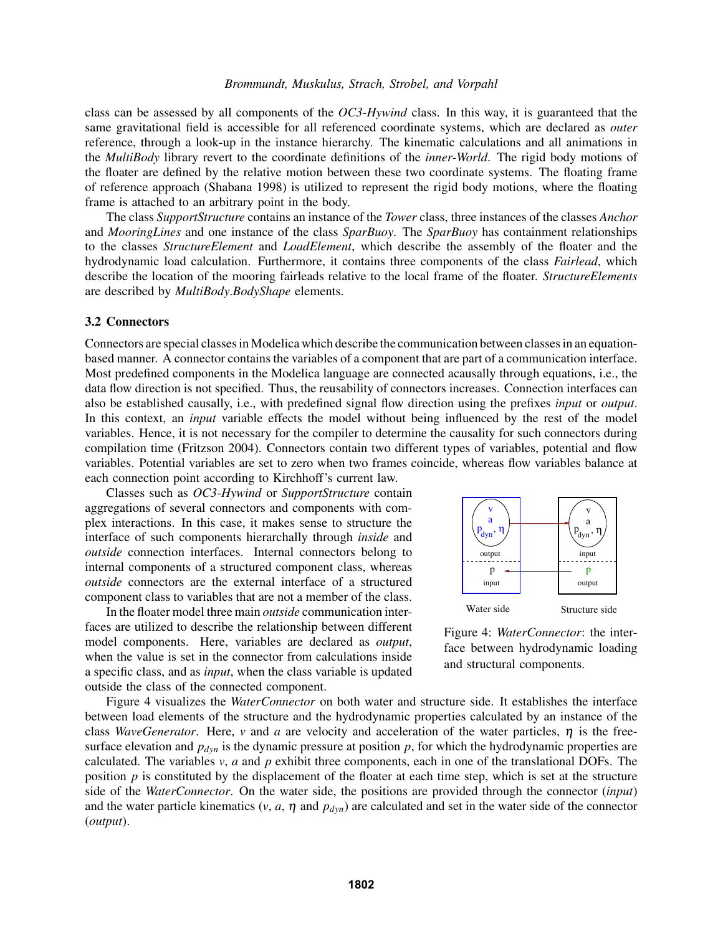class can be assessed by all components of the *OC3-Hywind* class. In this way, it is guaranteed that the same gravitational field is accessible for all referenced coordinate systems, which are declared as *outer* reference, through a look-up in the instance hierarchy. The kinematic calculations and all animations in the *MultiBody* library revert to the coordinate definitions of the *inner-World*. The rigid body motions of the floater are defined by the relative motion between these two coordinate systems. The floating frame of reference approach (Shabana 1998) is utilized to represent the rigid body motions, where the floating frame is attached to an arbitrary point in the body.

The class *SupportStructure* contains an instance of the *Tower* class, three instances of the classes *Anchor* and *MooringLines* and one instance of the class *SparBuoy*. The *SparBuoy* has containment relationships to the classes *StructureElement* and *LoadElement*, which describe the assembly of the floater and the hydrodynamic load calculation. Furthermore, it contains three components of the class *Fairlead*, which describe the location of the mooring fairleads relative to the local frame of the floater. *StructureElements* are described by *MultiBody*.*BodyShape* elements.

#### 3.2 Connectors

Connectors are special classes in Modelica which describe the communication between classes in an equationbased manner. A connector contains the variables of a component that are part of a communication interface. Most predefined components in the Modelica language are connected acausally through equations, i.e., the data flow direction is not specified. Thus, the reusability of connectors increases. Connection interfaces can also be established causally, i.e., with predefined signal flow direction using the prefixes *input* or *output*. In this context, an *input* variable effects the model without being influenced by the rest of the model variables. Hence, it is not necessary for the compiler to determine the causality for such connectors during compilation time (Fritzson 2004). Connectors contain two different types of variables, potential and flow variables. Potential variables are set to zero when two frames coincide, whereas flow variables balance at each connection point according to Kirchhoff's current law.

Classes such as *OC3-Hywind* or *SupportStructure* contain aggregations of several connectors and components with complex interactions. In this case, it makes sense to structure the interface of such components hierarchally through *inside* and *outside* connection interfaces. Internal connectors belong to internal components of a structured component class, whereas *outside* connectors are the external interface of a structured component class to variables that are not a member of the class.

In the floater model three main *outside* communication interfaces are utilized to describe the relationship between different model components. Here, variables are declared as *output*, when the value is set in the connector from calculations inside a specific class, and as *input*, when the class variable is updated outside the class of the connected component.



Figure 4: *WaterConnector*: the interface between hydrodynamic loading and structural components.

Figure 4 visualizes the *WaterConnector* on both water and structure side. It establishes the interface between load elements of the structure and the hydrodynamic properties calculated by an instance of the class *WaveGenerator*. Here, *v* and *a* are velocity and acceleration of the water particles,  $\eta$  is the freesurface elevation and  $p_{dyn}$  is the dynamic pressure at position  $p$ , for which the hydrodynamic properties are calculated. The variables *v*, *a* and *p* exhibit three components, each in one of the translational DOFs. The position  $p$  is constituted by the displacement of the floater at each time step, which is set at the structure side of the *WaterConnector*. On the water side, the positions are provided through the connector (*input*) and the water particle kinematics  $(v, a, \eta \text{ and } p_{dyn})$  are calculated and set in the water side of the connector (*output*).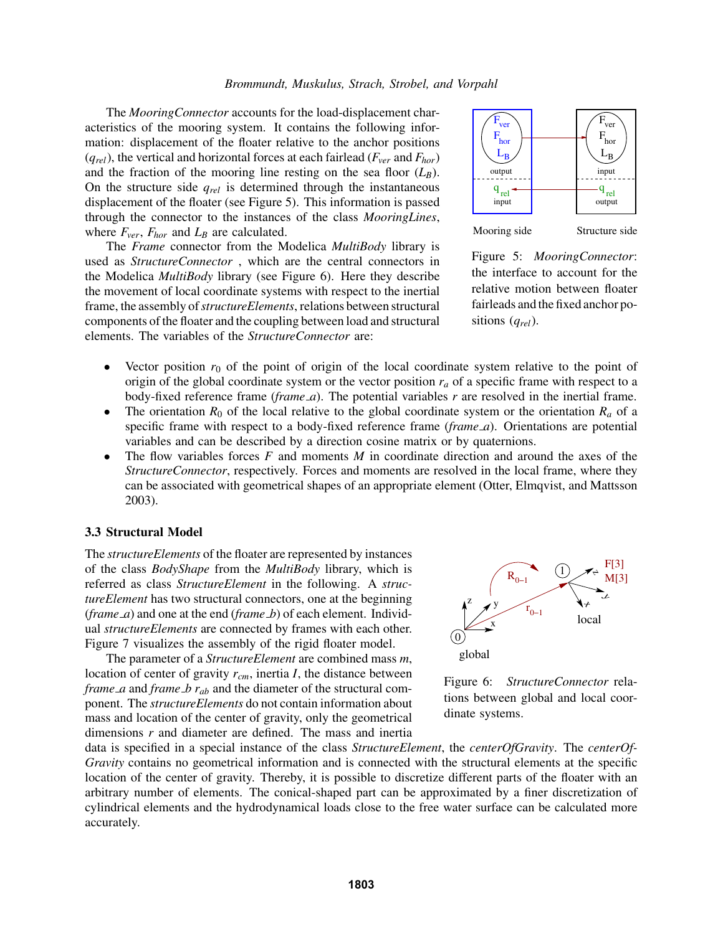The *MooringConnector* accounts for the load-displacement characteristics of the mooring system. It contains the following information: displacement of the floater relative to the anchor positions  $(q_{rel})$ , the vertical and horizontal forces at each fairlead ( $F_{ver}$  and  $F_{hor}$ ) and the fraction of the mooring line resting on the sea floor (*LB*). On the structure side *qrel* is determined through the instantaneous displacement of the floater (see Figure 5). This information is passed through the connector to the instances of the class *MooringLines*, where  $F_{ver}$ ,  $F_{hor}$  and  $L_B$  are calculated.

The *Frame* connector from the Modelica *MultiBody* library is used as *StructureConnector* , which are the central connectors in the Modelica *MultiBody* library (see Figure 6). Here they describe the movement of local coordinate systems with respect to the inertial frame, the assembly of*structureElements*, relations between structural components of the floater and the coupling between load and structural elements. The variables of the *StructureConnector* are:





Figure 5: *MooringConnector*: the interface to account for the relative motion between floater fairleads and the fixed anchor positions (*qrel*).

- Vector position  $r_0$  of the point of origin of the local coordinate system relative to the point of origin of the global coordinate system or the vector position  $r_a$  of a specific frame with respect to a body-fixed reference frame (*frame a*). The potential variables *r* are resolved in the inertial frame.
- The orientation  $R_0$  of the local relative to the global coordinate system or the orientation  $R_a$  of a specific frame with respect to a body-fixed reference frame (*frame a*). Orientations are potential variables and can be described by a direction cosine matrix or by quaternions.
- The flow variables forces F and moments M in coordinate direction and around the axes of the *StructureConnector*, respectively. Forces and moments are resolved in the local frame, where they can be associated with geometrical shapes of an appropriate element (Otter, Elmqvist, and Mattsson 2003).

#### 3.3 Structural Model

The *structureElements* of the floater are represented by instances of the class *BodyShape* from the *MultiBody* library, which is referred as class *StructureElement* in the following. A *structureElement* has two structural connectors, one at the beginning (*frame a*) and one at the end (*frame b*) of each element. Individual *structureElements* are connected by frames with each other. Figure 7 visualizes the assembly of the rigid floater model.

The parameter of a *StructureElement* are combined mass *m*, location of center of gravity  $r_{cm}$ , inertia  $I$ , the distance between *frame a* and *frame b rab* and the diameter of the structural component. The *structureElements* do not contain information about mass and location of the center of gravity, only the geometrical dimensions *r* and diameter are defined. The mass and inertia



Figure 6: *StructureConnector* relations between global and local coordinate systems.

data is specified in a special instance of the class *StructureElement*, the *centerOfGravity*. The *centerOf-Gravity* contains no geometrical information and is connected with the structural elements at the specific location of the center of gravity. Thereby, it is possible to discretize different parts of the floater with an arbitrary number of elements. The conical-shaped part can be approximated by a finer discretization of cylindrical elements and the hydrodynamical loads close to the free water surface can be calculated more accurately.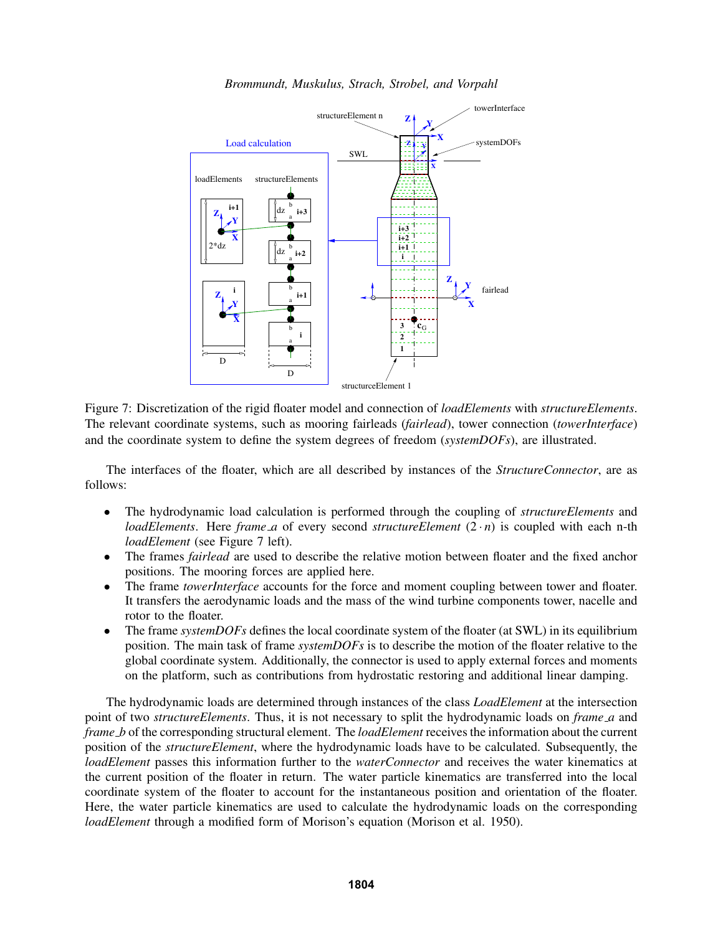*Brommundt, Muskulus, Strach, Strobel, and Vorpahl*



Figure 7: Discretization of the rigid floater model and connection of *loadElements* with *structureElements*. The relevant coordinate systems, such as mooring fairleads (*fairlead*), tower connection (*towerInterface*) and the coordinate system to define the system degrees of freedom (*systemDOFs*), are illustrated.

The interfaces of the floater, which are all described by instances of the *StructureConnector*, are as follows:

- The hydrodynamic load calculation is performed through the coupling of *structureElements* and *loadElements*. Here *frame a* of every second *structureElement*  $(2 \cdot n)$  is coupled with each n-th *loadElement* (see Figure 7 left).
- The frames *fairlead* are used to describe the relative motion between floater and the fixed anchor positions. The mooring forces are applied here.
- The frame *towerInterface* accounts for the force and moment coupling between tower and floater. It transfers the aerodynamic loads and the mass of the wind turbine components tower, nacelle and rotor to the floater.
- The frame *systemDOFs* defines the local coordinate system of the floater (at SWL) in its equilibrium position. The main task of frame *systemDOFs* is to describe the motion of the floater relative to the global coordinate system. Additionally, the connector is used to apply external forces and moments on the platform, such as contributions from hydrostatic restoring and additional linear damping.

The hydrodynamic loads are determined through instances of the class *LoadElement* at the intersection point of two *structureElements*. Thus, it is not necessary to split the hydrodynamic loads on *frame a* and *frame b* of the corresponding structural element. The *loadElement* receives the information about the current position of the *structureElement*, where the hydrodynamic loads have to be calculated. Subsequently, the *loadElement* passes this information further to the *waterConnector* and receives the water kinematics at the current position of the floater in return. The water particle kinematics are transferred into the local coordinate system of the floater to account for the instantaneous position and orientation of the floater. Here, the water particle kinematics are used to calculate the hydrodynamic loads on the corresponding *loadElement* through a modified form of Morison's equation (Morison et al. 1950).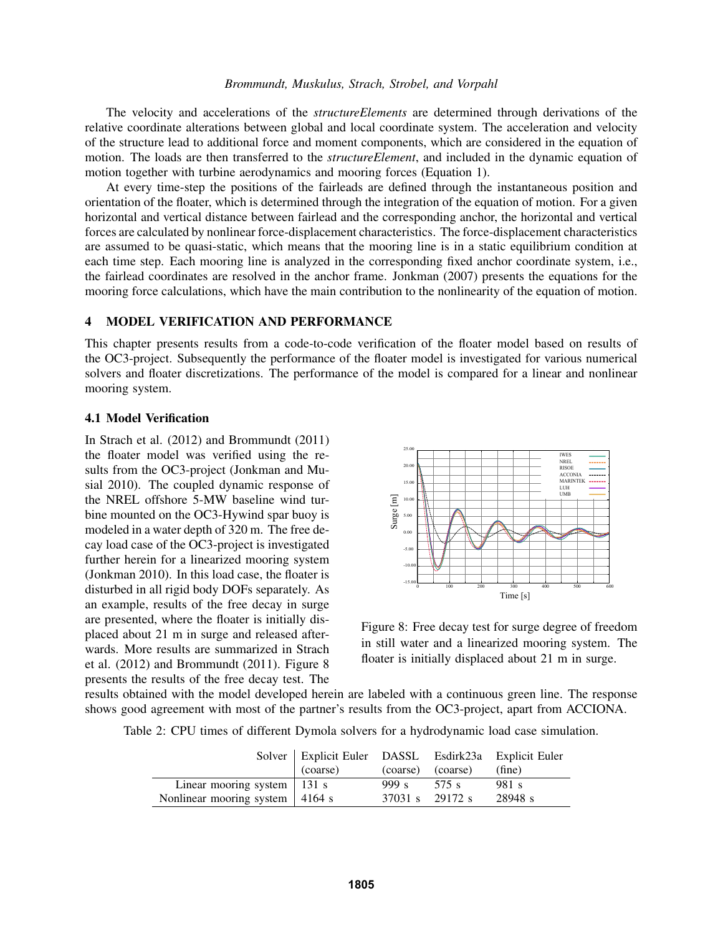The velocity and accelerations of the *structureElements* are determined through derivations of the relative coordinate alterations between global and local coordinate system. The acceleration and velocity of the structure lead to additional force and moment components, which are considered in the equation of motion. The loads are then transferred to the *structureElement*, and included in the dynamic equation of motion together with turbine aerodynamics and mooring forces (Equation 1).

At every time-step the positions of the fairleads are defined through the instantaneous position and orientation of the floater, which is determined through the integration of the equation of motion. For a given horizontal and vertical distance between fairlead and the corresponding anchor, the horizontal and vertical forces are calculated by nonlinear force-displacement characteristics. The force-displacement characteristics are assumed to be quasi-static, which means that the mooring line is in a static equilibrium condition at each time step. Each mooring line is analyzed in the corresponding fixed anchor coordinate system, i.e., the fairlead coordinates are resolved in the anchor frame. Jonkman (2007) presents the equations for the mooring force calculations, which have the main contribution to the nonlinearity of the equation of motion.

### 4 MODEL VERIFICATION AND PERFORMANCE

This chapter presents results from a code-to-code verification of the floater model based on results of the OC3-project. Subsequently the performance of the floater model is investigated for various numerical solvers and floater discretizations. The performance of the model is compared for a linear and nonlinear mooring system.

### 4.1 Model Verification

In Strach et al. (2012) and Brommundt (2011) the floater model was verified using the results from the OC3-project (Jonkman and Musial 2010). The coupled dynamic response of the NREL offshore 5-MW baseline wind turbine mounted on the OC3-Hywind spar buoy is modeled in a water depth of 320 m. The free decay load case of the OC3-project is investigated further herein for a linearized mooring system (Jonkman 2010). In this load case, the floater is disturbed in all rigid body DOFs separately. As an example, results of the free decay in surge are presented, where the floater is initially displaced about 21 m in surge and released afterwards. More results are summarized in Strach et al. (2012) and Brommundt (2011). Figure 8 presents the results of the free decay test. The



Figure 8: Free decay test for surge degree of freedom in still water and a linearized mooring system. The floater is initially displaced about 21 m in surge.

results obtained with the model developed herein are labeled with a continuous green line. The response shows good agreement with most of the partner's results from the OC3-project, apart from ACCIONA.

Table 2: CPU times of different Dymola solvers for a hydrodynamic load case simulation.

|                                         | Solver   Explicit Euler DASSL Esdirk23a Explicit Euler |                   |       |         |
|-----------------------------------------|--------------------------------------------------------|-------------------|-------|---------|
|                                         | (coarse)                                               | (coarse) (coarse) |       | (fine)  |
| Linear mooring system   131 s           |                                                        | 999 s             | 575 s | 981 s   |
| Nonlinear mooring system $\vert$ 4164 s |                                                        | 37031 s 29172 s   |       | 28948 s |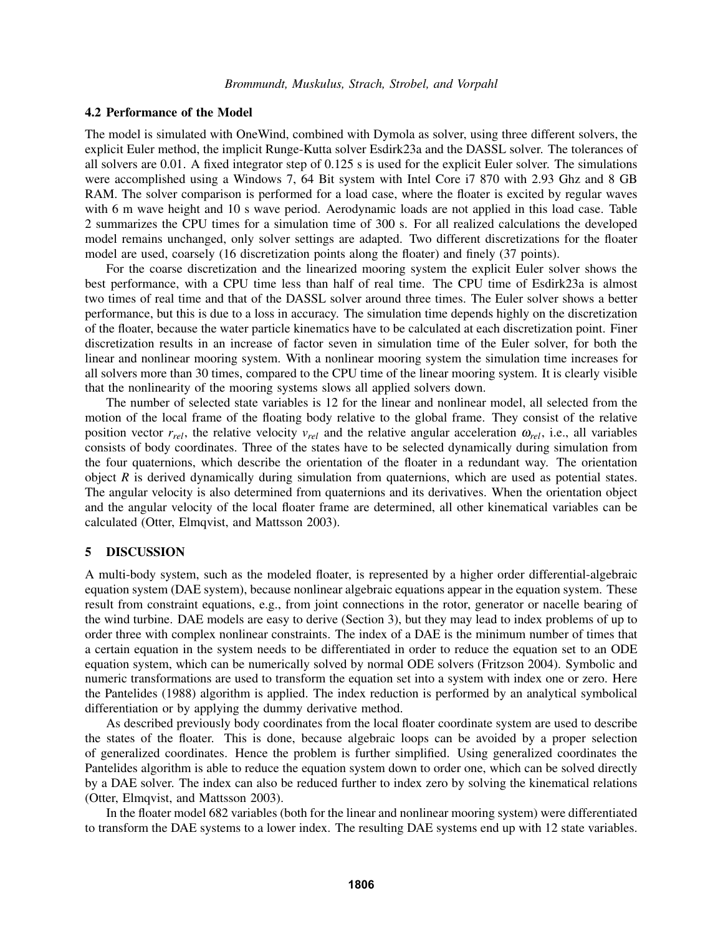#### 4.2 Performance of the Model

The model is simulated with OneWind, combined with Dymola as solver, using three different solvers, the explicit Euler method, the implicit Runge-Kutta solver Esdirk23a and the DASSL solver. The tolerances of all solvers are 0.01. A fixed integrator step of 0.125 s is used for the explicit Euler solver. The simulations were accomplished using a Windows 7, 64 Bit system with Intel Core i7 870 with 2.93 Ghz and 8 GB RAM. The solver comparison is performed for a load case, where the floater is excited by regular waves with 6 m wave height and 10 s wave period. Aerodynamic loads are not applied in this load case. Table 2 summarizes the CPU times for a simulation time of 300 s. For all realized calculations the developed model remains unchanged, only solver settings are adapted. Two different discretizations for the floater model are used, coarsely (16 discretization points along the floater) and finely (37 points).

For the coarse discretization and the linearized mooring system the explicit Euler solver shows the best performance, with a CPU time less than half of real time. The CPU time of Esdirk23a is almost two times of real time and that of the DASSL solver around three times. The Euler solver shows a better performance, but this is due to a loss in accuracy. The simulation time depends highly on the discretization of the floater, because the water particle kinematics have to be calculated at each discretization point. Finer discretization results in an increase of factor seven in simulation time of the Euler solver, for both the linear and nonlinear mooring system. With a nonlinear mooring system the simulation time increases for all solvers more than 30 times, compared to the CPU time of the linear mooring system. It is clearly visible that the nonlinearity of the mooring systems slows all applied solvers down.

The number of selected state variables is 12 for the linear and nonlinear model, all selected from the motion of the local frame of the floating body relative to the global frame. They consist of the relative position vector  $r_{rel}$ , the relative velocity  $v_{rel}$  and the relative angular acceleration  $\omega_{rel}$ , i.e., all variables consists of body coordinates. Three of the states have to be selected dynamically during simulation from the four quaternions, which describe the orientation of the floater in a redundant way. The orientation object *R* is derived dynamically during simulation from quaternions, which are used as potential states. The angular velocity is also determined from quaternions and its derivatives. When the orientation object and the angular velocity of the local floater frame are determined, all other kinematical variables can be calculated (Otter, Elmqvist, and Mattsson 2003).

### 5 DISCUSSION

A multi-body system, such as the modeled floater, is represented by a higher order differential-algebraic equation system (DAE system), because nonlinear algebraic equations appear in the equation system. These result from constraint equations, e.g., from joint connections in the rotor, generator or nacelle bearing of the wind turbine. DAE models are easy to derive (Section 3), but they may lead to index problems of up to order three with complex nonlinear constraints. The index of a DAE is the minimum number of times that a certain equation in the system needs to be differentiated in order to reduce the equation set to an ODE equation system, which can be numerically solved by normal ODE solvers (Fritzson 2004). Symbolic and numeric transformations are used to transform the equation set into a system with index one or zero. Here the Pantelides (1988) algorithm is applied. The index reduction is performed by an analytical symbolical differentiation or by applying the dummy derivative method.

As described previously body coordinates from the local floater coordinate system are used to describe the states of the floater. This is done, because algebraic loops can be avoided by a proper selection of generalized coordinates. Hence the problem is further simplified. Using generalized coordinates the Pantelides algorithm is able to reduce the equation system down to order one, which can be solved directly by a DAE solver. The index can also be reduced further to index zero by solving the kinematical relations (Otter, Elmqvist, and Mattsson 2003).

In the floater model 682 variables (both for the linear and nonlinear mooring system) were differentiated to transform the DAE systems to a lower index. The resulting DAE systems end up with 12 state variables.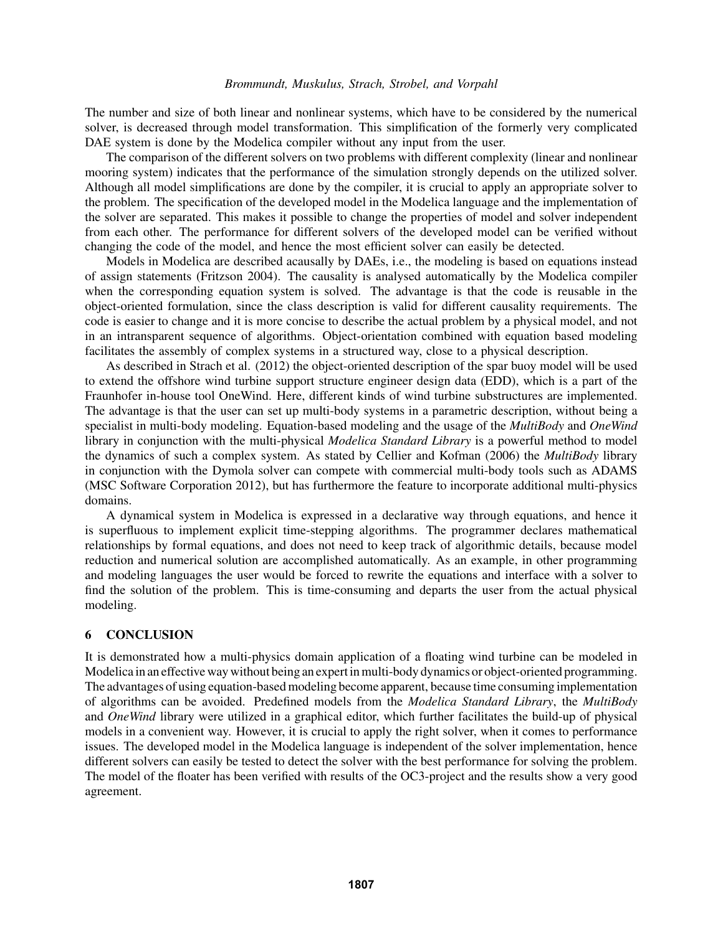The number and size of both linear and nonlinear systems, which have to be considered by the numerical solver, is decreased through model transformation. This simplification of the formerly very complicated DAE system is done by the Modelica compiler without any input from the user.

The comparison of the different solvers on two problems with different complexity (linear and nonlinear mooring system) indicates that the performance of the simulation strongly depends on the utilized solver. Although all model simplifications are done by the compiler, it is crucial to apply an appropriate solver to the problem. The specification of the developed model in the Modelica language and the implementation of the solver are separated. This makes it possible to change the properties of model and solver independent from each other. The performance for different solvers of the developed model can be verified without changing the code of the model, and hence the most efficient solver can easily be detected.

Models in Modelica are described acausally by DAEs, i.e., the modeling is based on equations instead of assign statements (Fritzson 2004). The causality is analysed automatically by the Modelica compiler when the corresponding equation system is solved. The advantage is that the code is reusable in the object-oriented formulation, since the class description is valid for different causality requirements. The code is easier to change and it is more concise to describe the actual problem by a physical model, and not in an intransparent sequence of algorithms. Object-orientation combined with equation based modeling facilitates the assembly of complex systems in a structured way, close to a physical description.

As described in Strach et al. (2012) the object-oriented description of the spar buoy model will be used to extend the offshore wind turbine support structure engineer design data (EDD), which is a part of the Fraunhofer in-house tool OneWind. Here, different kinds of wind turbine substructures are implemented. The advantage is that the user can set up multi-body systems in a parametric description, without being a specialist in multi-body modeling. Equation-based modeling and the usage of the *MultiBody* and *OneWind* library in conjunction with the multi-physical *Modelica Standard Library* is a powerful method to model the dynamics of such a complex system. As stated by Cellier and Kofman (2006) the *MultiBody* library in conjunction with the Dymola solver can compete with commercial multi-body tools such as ADAMS (MSC Software Corporation 2012), but has furthermore the feature to incorporate additional multi-physics domains.

A dynamical system in Modelica is expressed in a declarative way through equations, and hence it is superfluous to implement explicit time-stepping algorithms. The programmer declares mathematical relationships by formal equations, and does not need to keep track of algorithmic details, because model reduction and numerical solution are accomplished automatically. As an example, in other programming and modeling languages the user would be forced to rewrite the equations and interface with a solver to find the solution of the problem. This is time-consuming and departs the user from the actual physical modeling.

## 6 CONCLUSION

It is demonstrated how a multi-physics domain application of a floating wind turbine can be modeled in Modelica in an effective way without being an expert in multi-body dynamics or object-oriented programming. The advantages of using equation-based modeling become apparent, because time consuming implementation of algorithms can be avoided. Predefined models from the *Modelica Standard Library*, the *MultiBody* and *OneWind* library were utilized in a graphical editor, which further facilitates the build-up of physical models in a convenient way. However, it is crucial to apply the right solver, when it comes to performance issues. The developed model in the Modelica language is independent of the solver implementation, hence different solvers can easily be tested to detect the solver with the best performance for solving the problem. The model of the floater has been verified with results of the OC3-project and the results show a very good agreement.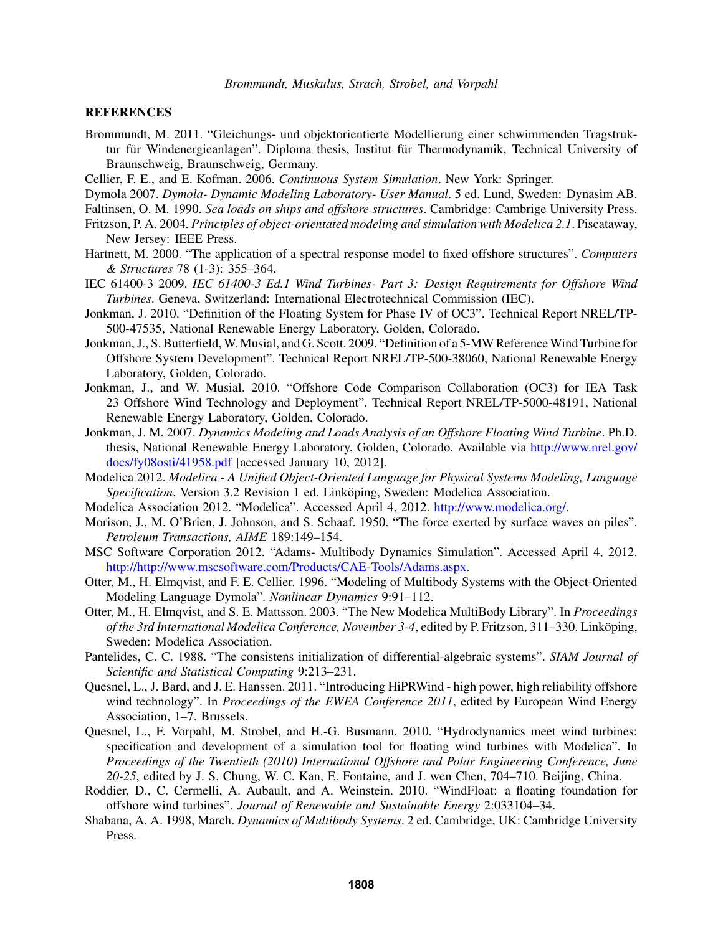#### **REFERENCES**

- Brommundt, M. 2011. "Gleichungs- und objektorientierte Modellierung einer schwimmenden Tragstruktur für Windenergieanlagen". Diploma thesis, Institut für Thermodynamik, Technical University of Braunschweig, Braunschweig, Germany.
- Cellier, F. E., and E. Kofman. 2006. *Continuous System Simulation*. New York: Springer.
- Dymola 2007. *Dymola- Dynamic Modeling Laboratory- User Manual*. 5 ed. Lund, Sweden: Dynasim AB.
- Faltinsen, O. M. 1990. *Sea loads on ships and offshore structures*. Cambridge: Cambrige University Press.
- Fritzson, P. A. 2004. *Principles of object-orientated modeling and simulation with Modelica 2.1*. Piscataway, New Jersey: IEEE Press.
- Hartnett, M. 2000. "The application of a spectral response model to fixed offshore structures". *Computers & Structures* 78 (1-3): 355–364.
- IEC 61400-3 2009. *IEC 61400-3 Ed.1 Wind Turbines- Part 3: Design Requirements for Offshore Wind Turbines*. Geneva, Switzerland: International Electrotechnical Commission (IEC).
- Jonkman, J. 2010. "Definition of the Floating System for Phase IV of OC3". Technical Report NREL/TP-500-47535, National Renewable Energy Laboratory, Golden, Colorado.
- Jonkman, J., S. Butterfield, W. Musial, and G. Scott. 2009. "Definition of a 5-MW Reference Wind Turbine for Offshore System Development". Technical Report NREL/TP-500-38060, National Renewable Energy Laboratory, Golden, Colorado.
- Jonkman, J., and W. Musial. 2010. "Offshore Code Comparison Collaboration (OC3) for IEA Task 23 Offshore Wind Technology and Deployment". Technical Report NREL/TP-5000-48191, National Renewable Energy Laboratory, Golden, Colorado.
- Jonkman, J. M. 2007. *Dynamics Modeling and Loads Analysis of an Offshore Floating Wind Turbine*. Ph.D. thesis, National Renewable Energy Laboratory, Golden, Colorado. Available via http://www.nrel.gov/ docs/fy08osti/41958.pdf [accessed January 10, 2012].
- Modelica 2012. *Modelica A Unified Object-Oriented Language for Physical Systems Modeling, Language Specification*. Version 3.2 Revision 1 ed. Linköping, Sweden: Modelica Association.
- Modelica Association 2012. "Modelica". Accessed April 4, 2012. http://www.modelica.org/.
- Morison, J., M. O'Brien, J. Johnson, and S. Schaaf. 1950. "The force exerted by surface waves on piles". *Petroleum Transactions, AIME* 189:149–154.
- MSC Software Corporation 2012. "Adams- Multibody Dynamics Simulation". Accessed April 4, 2012. http://http://www.mscsoftware.com/Products/CAE-Tools/Adams.aspx.
- Otter, M., H. Elmqvist, and F. E. Cellier. 1996. "Modeling of Multibody Systems with the Object-Oriented Modeling Language Dymola". *Nonlinear Dynamics* 9:91–112.
- Otter, M., H. Elmqvist, and S. E. Mattsson. 2003. "The New Modelica MultiBody Library". In *Proceedings of the 3rd International Modelica Conference, November 3-4, edited by P. Fritzson, 311–330. Linköping,* Sweden: Modelica Association.
- Pantelides, C. C. 1988. "The consistens initialization of differential-algebraic systems". *SIAM Journal of Scientific and Statistical Computing* 9:213–231.
- Quesnel, L., J. Bard, and J. E. Hanssen. 2011. "Introducing HiPRWind high power, high reliability offshore wind technology". In *Proceedings of the EWEA Conference 2011*, edited by European Wind Energy Association, 1–7. Brussels.
- Quesnel, L., F. Vorpahl, M. Strobel, and H.-G. Busmann. 2010. "Hydrodynamics meet wind turbines: specification and development of a simulation tool for floating wind turbines with Modelica". In *Proceedings of the Twentieth (2010) International Offshore and Polar Engineering Conference, June 20-25*, edited by J. S. Chung, W. C. Kan, E. Fontaine, and J. wen Chen, 704–710. Beijing, China.
- Roddier, D., C. Cermelli, A. Aubault, and A. Weinstein. 2010. "WindFloat: a floating foundation for offshore wind turbines". *Journal of Renewable and Sustainable Energy* 2:033104–34.
- Shabana, A. A. 1998, March. *Dynamics of Multibody Systems*. 2 ed. Cambridge, UK: Cambridge University Press.